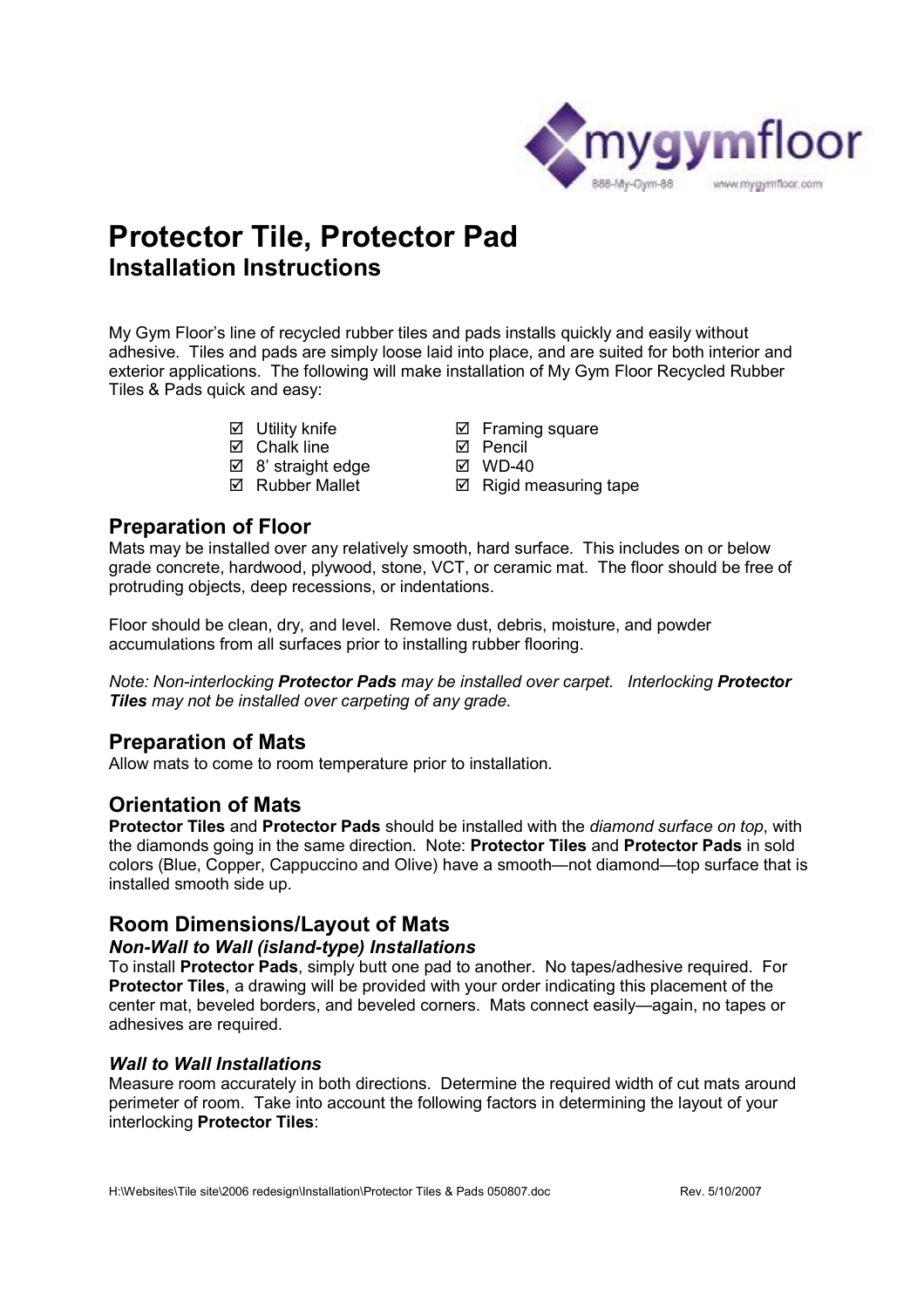

# **Protector Tile, Protector Pad Installation Instructions**

My Gym Floor's line of recycled rubber tiles and pads installs quickly and easily without adhesive. Tiles and pads are simply loose laid into place, and are suited for both interior and exterior applications. The following will make installation of My Gym Floor Recycled Rubber Tiles & Pads quick and easy:

- Utility knife
- $\boxtimes$  Chalk line
- $\boxtimes$  8' straight edge
- $\boxtimes$  Rubber Mallet
- **Ø** Framing square
	- **Ø** Pencil
	- WD-40
	- $\boxtimes$  Rigid measuring tape

## **Preparation of Floor**

Mats may be installed over any relatively smooth, hard surface. This includes on or below grade concrete, hardwood, plywood, stone, VCT, or ceramic mat. The floor should be free of protruding objects, deep recessions, or indentations.

Floor should be clean, dry, and level. Remove dust, debris, moisture, and powder accumulations from all surfaces prior to installing rubber flooring.

*Note: Non-interlocking Protector Pads may be installed over carpet. Interlocking Protector Tiles may not be installed over carpeting of any grade.* 

## **Preparation of Mats**

Allow mats to come to room temperature prior to installation.

## **Orientation of Mats**

**Protector Tiles** and **Protector Pads** should be installed with the *diamond surface on top*, with the diamonds going in the same direction. Note: **Protector Tiles** and **Protector Pads** in sold colors (Blue, Copper, Cappuccino and Olive) have a smooth—not diamond—top surface that is installed smooth side up.

## **Room Dimensions/Layout of Mats**

#### *Non-Wall to Wall (island-type) Installations*

To install **Protector Pads**, simply butt one pad to another. No tapes/adhesive required. For **Protector Tiles**, a drawing will be provided with your order indicating this placement of the center mat, beveled borders, and beveled corners. Mats connect easily—again, no tapes or adhesives are required.

#### *Wall to Wall Installations*

Measure room accurately in both directions. Determine the required width of cut mats around perimeter of room. Take into account the following factors in determining the layout of your interlocking **Protector Tiles**: